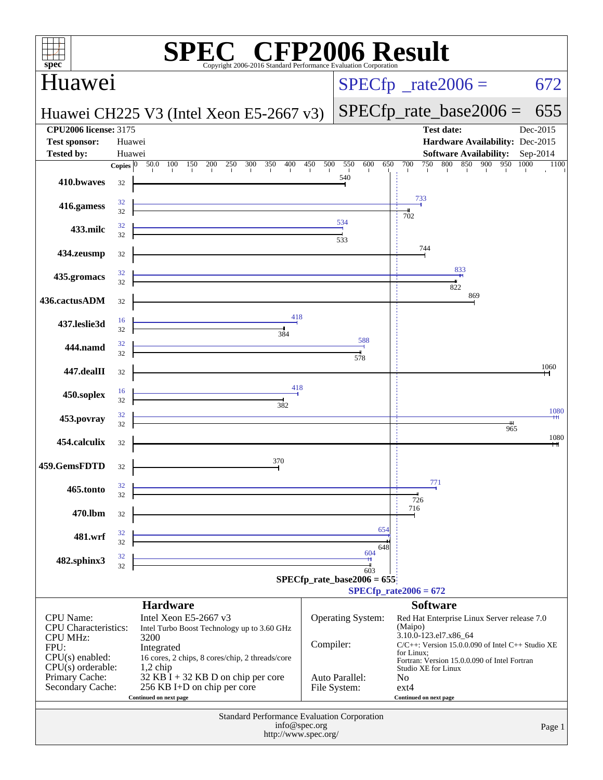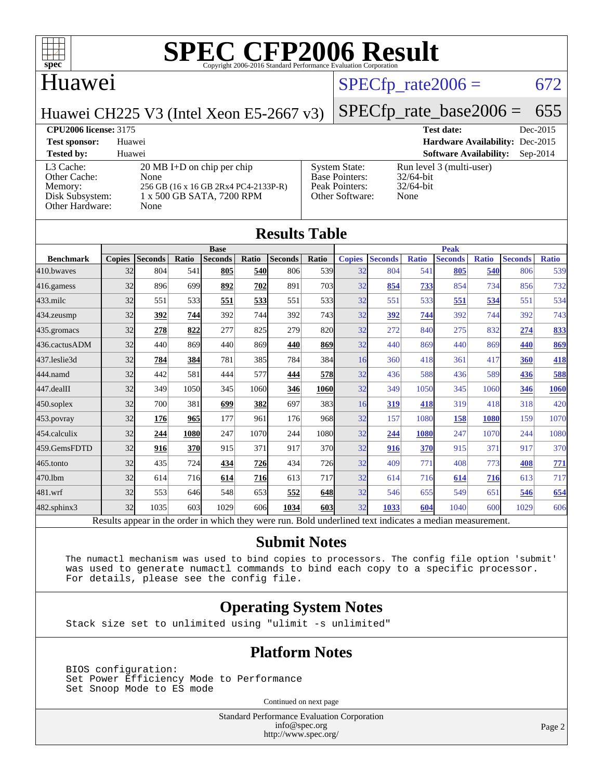

[Base Pointers:](http://www.spec.org/auto/cpu2006/Docs/result-fields.html#BasePointers)

## Huawei

### $SPECTp_rate2006 = 672$

[System State:](http://www.spec.org/auto/cpu2006/Docs/result-fields.html#SystemState) Run level 3 (multi-user)<br>Base Pointers: 32/64-bit

[Peak Pointers:](http://www.spec.org/auto/cpu2006/Docs/result-fields.html#PeakPointers) 32/64-bit [Other Software:](http://www.spec.org/auto/cpu2006/Docs/result-fields.html#OtherSoftware) None

Huawei CH225 V3 (Intel Xeon E5-2667 v3)

[SPECfp\\_rate\\_base2006 =](http://www.spec.org/auto/cpu2006/Docs/result-fields.html#SPECfpratebase2006) 655

**[CPU2006 license:](http://www.spec.org/auto/cpu2006/Docs/result-fields.html#CPU2006license)** 3175 **[Test date:](http://www.spec.org/auto/cpu2006/Docs/result-fields.html#Testdate)** Dec-2015 **[Test sponsor:](http://www.spec.org/auto/cpu2006/Docs/result-fields.html#Testsponsor)** Huawei **[Hardware Availability:](http://www.spec.org/auto/cpu2006/Docs/result-fields.html#HardwareAvailability)** Dec-2015 **[Tested by:](http://www.spec.org/auto/cpu2006/Docs/result-fields.html#Testedby)** Huawei **[Software Availability:](http://www.spec.org/auto/cpu2006/Docs/result-fields.html#SoftwareAvailability)** Sep-2014

#### [L3 Cache:](http://www.spec.org/auto/cpu2006/Docs/result-fields.html#L3Cache) 20 MB I+D on chip per chip<br>Other Cache: None [Other Cache:](http://www.spec.org/auto/cpu2006/Docs/result-fields.html#OtherCache) [Memory:](http://www.spec.org/auto/cpu2006/Docs/result-fields.html#Memory) 256 GB (16 x 16 GB 2Rx4 PC4-2133P-R) [Disk Subsystem:](http://www.spec.org/auto/cpu2006/Docs/result-fields.html#DiskSubsystem) 1 x 500 GB SATA, 7200 RPM [Other Hardware:](http://www.spec.org/auto/cpu2006/Docs/result-fields.html#OtherHardware) None

| <b>Results Table</b> |               |                |       |                                                                                                          |       |                |            |               |                |              |                |              |                |              |
|----------------------|---------------|----------------|-------|----------------------------------------------------------------------------------------------------------|-------|----------------|------------|---------------|----------------|--------------|----------------|--------------|----------------|--------------|
|                      |               |                |       | <b>Base</b>                                                                                              |       |                |            |               |                |              | <b>Peak</b>    |              |                |              |
| <b>Benchmark</b>     | <b>Copies</b> | <b>Seconds</b> | Ratio | <b>Seconds</b>                                                                                           | Ratio | <b>Seconds</b> | Ratio      | <b>Copies</b> | <b>Seconds</b> | <b>Ratio</b> | <b>Seconds</b> | <b>Ratio</b> | <b>Seconds</b> | <b>Ratio</b> |
| 410.bwayes           | 32            | 804            | 541   | 805                                                                                                      | 540   | 806            | 539        | 32            | 804            | 541          | 805            | 540          | 806            | 539          |
| 416.gamess           | 32            | 896            | 699   | 892                                                                                                      | 702   | 891            | 703        | 32            | 854            | 733          | 854            | 734          | 856            | 732          |
| $433$ .milc          | 32            | 551            | 533   | 551                                                                                                      | 533   | 551            | 533        | 32            | 551            | 533          | 551            | 534          | 551            | 534          |
| $434$ . zeusmp       | 32            | 392            | 744   | 392                                                                                                      | 744   | 392            | 743        | 32            | 392            | 744          | 392            | 744          | 392            | 743          |
| $435$ . gromacs      | 32            | 278            | 822   | 277                                                                                                      | 825   | 279            | 820        | 32            | 272            | 840          | 275            | 832          | 274            | 833          |
| 436.cactusADM        | 32            | 440            | 869   | 440                                                                                                      | 869   | 440            | 869        | 32            | 440            | 869          | 440            | 869          | 440            | 869          |
| 437.leslie3d         | 32            | 784            | 384   | 781                                                                                                      | 385   | 784            | 384        | 16            | 360            | 418          | 361            | 417          | 360            | <b>418</b>   |
| 444.namd             | 32            | 442            | 581   | 444                                                                                                      | 577   | 444            | 578        | 32            | 436            | 588          | 436            | 589          | 436            | 588          |
| $447$ .dealII        | 32            | 349            | 1050  | 345                                                                                                      | 1060  | 346            | 1060       | 32            | 349            | 1050         | 345            | 1060         | 346            | 1060         |
| $450$ .soplex        | 32            | 700            | 381   | 699                                                                                                      | 382   | 697            | 383I       | 16            | 319            | 418          | 319            | 418          | 318            | 420          |
| 453.povray           | 32            | 176            | 965   | 177                                                                                                      | 961   | 176            | 968        | 32            | 157            | 1080         | 158            | 1080         | 159            | 1070         |
| 454.calculix         | 32            | 244            | 1080  | 247                                                                                                      | 1070  | 244            | 1080       | 32            | 244            | 1080         | 247            | 1070         | 244            | 1080         |
| 459.GemsFDTD         | 32            | 916            | 370   | 915                                                                                                      | 371   | 917            | 370l       | 32            | 916            | 370          | 915            | 371          | 917            | 370          |
| $465$ .tonto         | 32            | 435            | 724   | 434                                                                                                      | 726   | 434            | <b>726</b> | 32            | 409            | 771          | 408            | 773          | 408            | 771          |
| 470.1bm              | 32            | 614            | 716   | 614                                                                                                      | 716   | 613            | 717        | 32            | 614            | 716          | 614            | 716          | 613            | 717          |
| 481.wrf              | 32            | 553            | 646   | 548                                                                                                      | 653   | 552            | 648        | 32            | 546            | 655          | 549            | 651          | 546            | 654          |
| $482$ .sphinx $3$    | 32            | 1035           | 603   | 1029                                                                                                     | 606   | 1034           | 603        | 32            | 1033           | 604          | 1040           | 600          | 1029           | 606          |
|                      |               |                |       | Results appear in the order in which they were run. Bold underlined text indicates a median measurement. |       |                |            |               |                |              |                |              |                |              |

#### **[Submit Notes](http://www.spec.org/auto/cpu2006/Docs/result-fields.html#SubmitNotes)**

 The numactl mechanism was used to bind copies to processors. The config file option 'submit' was used to generate numactl commands to bind each copy to a specific processor. For details, please see the config file.

#### **[Operating System Notes](http://www.spec.org/auto/cpu2006/Docs/result-fields.html#OperatingSystemNotes)**

Stack size set to unlimited using "ulimit -s unlimited"

#### **[Platform Notes](http://www.spec.org/auto/cpu2006/Docs/result-fields.html#PlatformNotes)**

 BIOS configuration: Set Power Efficiency Mode to Performance Set Snoop Mode to ES mode

Continued on next page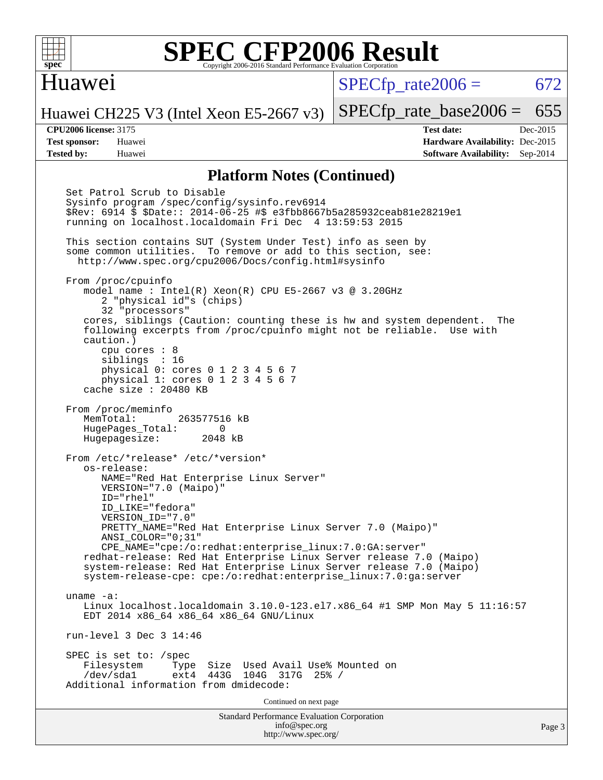

### Huawei

SPECfp\_rate $2006 = 672$ 

Huawei CH225 V3 (Intel Xeon E5-2667 v3)

**[Tested by:](http://www.spec.org/auto/cpu2006/Docs/result-fields.html#Testedby)** Huawei **[Software Availability:](http://www.spec.org/auto/cpu2006/Docs/result-fields.html#SoftwareAvailability)** Sep-2014

**[CPU2006 license:](http://www.spec.org/auto/cpu2006/Docs/result-fields.html#CPU2006license)** 3175 **[Test date:](http://www.spec.org/auto/cpu2006/Docs/result-fields.html#Testdate)** Dec-2015 **[Test sponsor:](http://www.spec.org/auto/cpu2006/Docs/result-fields.html#Testsponsor)** Huawei **[Hardware Availability:](http://www.spec.org/auto/cpu2006/Docs/result-fields.html#HardwareAvailability)** Dec-2015

[SPECfp\\_rate\\_base2006 =](http://www.spec.org/auto/cpu2006/Docs/result-fields.html#SPECfpratebase2006) 655

#### **[Platform Notes \(Continued\)](http://www.spec.org/auto/cpu2006/Docs/result-fields.html#PlatformNotes)**

Standard Performance Evaluation Corporation [info@spec.org](mailto:info@spec.org) <http://www.spec.org/> Page 3 Set Patrol Scrub to Disable Sysinfo program /spec/config/sysinfo.rev6914 \$Rev: 6914 \$ \$Date:: 2014-06-25 #\$ e3fbb8667b5a285932ceab81e28219e1 running on localhost.localdomain Fri Dec 4 13:59:53 2015 This section contains SUT (System Under Test) info as seen by some common utilities. To remove or add to this section, see: <http://www.spec.org/cpu2006/Docs/config.html#sysinfo> From /proc/cpuinfo model name : Intel(R) Xeon(R) CPU E5-2667 v3 @ 3.20GHz 2 "physical id"s (chips) 32 "processors" cores, siblings (Caution: counting these is hw and system dependent. The following excerpts from /proc/cpuinfo might not be reliable. Use with caution.) cpu cores : 8 siblings : 16 physical 0: cores 0 1 2 3 4 5 6 7 physical 1: cores 0 1 2 3 4 5 6 7 cache size : 20480 KB From /proc/meminfo MemTotal: 263577516 kB HugePages\_Total: 0<br>Hugepagesize: 2048 kB Hugepagesize: From /etc/\*release\* /etc/\*version\* os-release: NAME="Red Hat Enterprise Linux Server" VERSION="7.0 (Maipo)" ID="rhel" ID\_LIKE="fedora" VERSION\_ID="7.0" PRETTY NAME="Red Hat Enterprise Linux Server 7.0 (Maipo)" ANSI\_COLOR="0;31" CPE\_NAME="cpe:/o:redhat:enterprise\_linux:7.0:GA:server" redhat-release: Red Hat Enterprise Linux Server release 7.0 (Maipo) system-release: Red Hat Enterprise Linux Server release 7.0 (Maipo) system-release-cpe: cpe:/o:redhat:enterprise\_linux:7.0:ga:server uname -a: Linux localhost.localdomain 3.10.0-123.el7.x86\_64 #1 SMP Mon May 5 11:16:57 EDT 2014 x86\_64 x86\_64 x86\_64 GNU/Linux run-level 3 Dec 3 14:46 SPEC is set to: /spec Filesystem Type Size Used Avail Use% Mounted on<br>
/dev/sdal ext4 443G 104G 317G 25% / 104G 317G 25% / Additional information from dmidecode: Continued on next page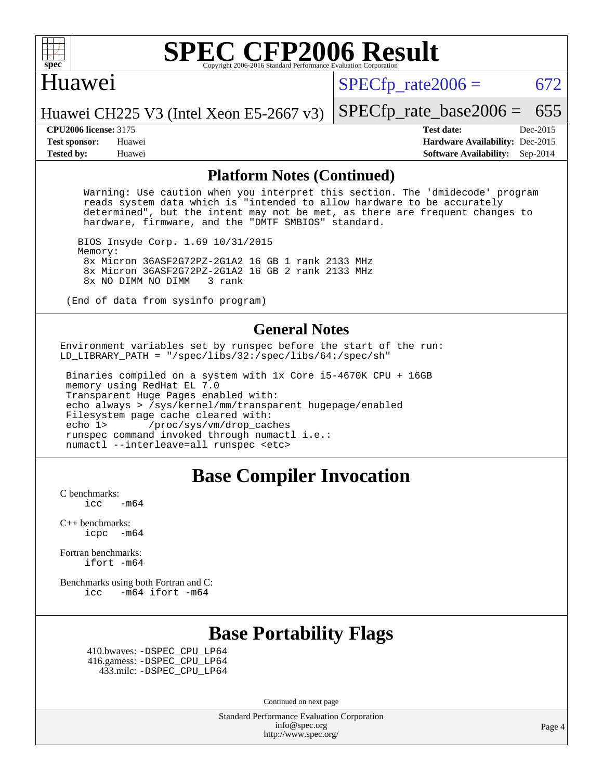

### Huawei

SPECfp\_rate $2006 = 672$ 

[SPECfp\\_rate\\_base2006 =](http://www.spec.org/auto/cpu2006/Docs/result-fields.html#SPECfpratebase2006) 655

#### Huawei CH225 V3 (Intel Xeon E5-2667 v3)

**[CPU2006 license:](http://www.spec.org/auto/cpu2006/Docs/result-fields.html#CPU2006license)** 3175 **[Test date:](http://www.spec.org/auto/cpu2006/Docs/result-fields.html#Testdate)** Dec-2015 **[Test sponsor:](http://www.spec.org/auto/cpu2006/Docs/result-fields.html#Testsponsor)** Huawei **[Hardware Availability:](http://www.spec.org/auto/cpu2006/Docs/result-fields.html#HardwareAvailability)** Dec-2015 **[Tested by:](http://www.spec.org/auto/cpu2006/Docs/result-fields.html#Testedby)** Huawei **[Software Availability:](http://www.spec.org/auto/cpu2006/Docs/result-fields.html#SoftwareAvailability)** Sep-2014

#### **[Platform Notes \(Continued\)](http://www.spec.org/auto/cpu2006/Docs/result-fields.html#PlatformNotes)**

 Warning: Use caution when you interpret this section. The 'dmidecode' program reads system data which is "intended to allow hardware to be accurately determined", but the intent may not be met, as there are frequent changes to hardware, firmware, and the "DMTF SMBIOS" standard.

 BIOS Insyde Corp. 1.69 10/31/2015 Memory: 8x Micron 36ASF2G72PZ-2G1A2 16 GB 1 rank 2133 MHz 8x Micron 36ASF2G72PZ-2G1A2 16 GB 2 rank 2133 MHz 8x NO DIMM NO DIMM

(End of data from sysinfo program)

#### **[General Notes](http://www.spec.org/auto/cpu2006/Docs/result-fields.html#GeneralNotes)**

Environment variables set by runspec before the start of the run: LD\_LIBRARY\_PATH = "/spec/libs/32:/spec/libs/64:/spec/sh"

 Binaries compiled on a system with 1x Core i5-4670K CPU + 16GB memory using RedHat EL 7.0 Transparent Huge Pages enabled with: echo always > /sys/kernel/mm/transparent\_hugepage/enabled Filesystem page cache cleared with: echo 1> /proc/sys/vm/drop\_caches runspec command invoked through numactl i.e.: numactl --interleave=all runspec <etc>

### **[Base Compiler Invocation](http://www.spec.org/auto/cpu2006/Docs/result-fields.html#BaseCompilerInvocation)**

[C benchmarks](http://www.spec.org/auto/cpu2006/Docs/result-fields.html#Cbenchmarks):  $\text{icc}$  -m64

[C++ benchmarks:](http://www.spec.org/auto/cpu2006/Docs/result-fields.html#CXXbenchmarks) [icpc -m64](http://www.spec.org/cpu2006/results/res2016q1/cpu2006-20160107-38601.flags.html#user_CXXbase_intel_icpc_64bit_bedb90c1146cab66620883ef4f41a67e)

[Fortran benchmarks](http://www.spec.org/auto/cpu2006/Docs/result-fields.html#Fortranbenchmarks): [ifort -m64](http://www.spec.org/cpu2006/results/res2016q1/cpu2006-20160107-38601.flags.html#user_FCbase_intel_ifort_64bit_ee9d0fb25645d0210d97eb0527dcc06e)

[Benchmarks using both Fortran and C](http://www.spec.org/auto/cpu2006/Docs/result-fields.html#BenchmarksusingbothFortranandC): [icc -m64](http://www.spec.org/cpu2006/results/res2016q1/cpu2006-20160107-38601.flags.html#user_CC_FCbase_intel_icc_64bit_0b7121f5ab7cfabee23d88897260401c) [ifort -m64](http://www.spec.org/cpu2006/results/res2016q1/cpu2006-20160107-38601.flags.html#user_CC_FCbase_intel_ifort_64bit_ee9d0fb25645d0210d97eb0527dcc06e)

## **[Base Portability Flags](http://www.spec.org/auto/cpu2006/Docs/result-fields.html#BasePortabilityFlags)**

 410.bwaves: [-DSPEC\\_CPU\\_LP64](http://www.spec.org/cpu2006/results/res2016q1/cpu2006-20160107-38601.flags.html#suite_basePORTABILITY410_bwaves_DSPEC_CPU_LP64) 416.gamess: [-DSPEC\\_CPU\\_LP64](http://www.spec.org/cpu2006/results/res2016q1/cpu2006-20160107-38601.flags.html#suite_basePORTABILITY416_gamess_DSPEC_CPU_LP64) 433.milc: [-DSPEC\\_CPU\\_LP64](http://www.spec.org/cpu2006/results/res2016q1/cpu2006-20160107-38601.flags.html#suite_basePORTABILITY433_milc_DSPEC_CPU_LP64)

Continued on next page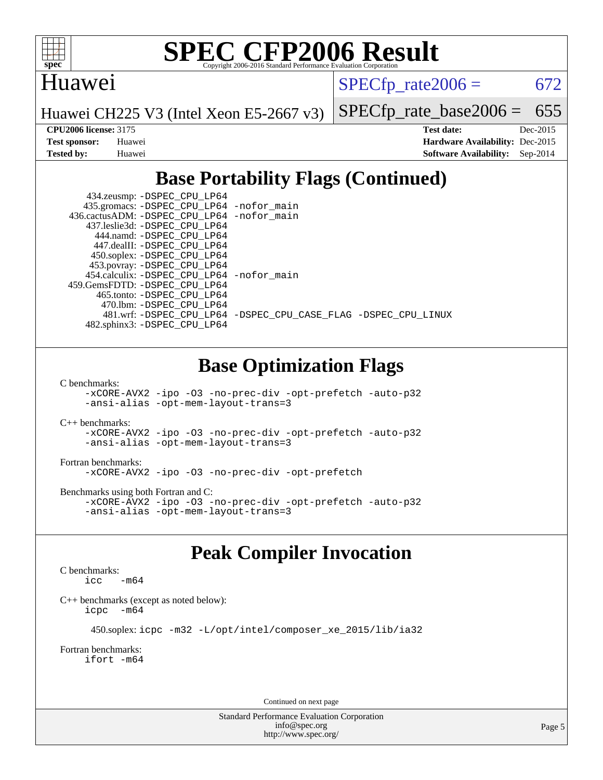

## Huawei

SPECfp\_rate $2006 = 672$ 

Huawei CH225 V3 (Intel Xeon E5-2667 v3)

[SPECfp\\_rate\\_base2006 =](http://www.spec.org/auto/cpu2006/Docs/result-fields.html#SPECfpratebase2006) 655

**[CPU2006 license:](http://www.spec.org/auto/cpu2006/Docs/result-fields.html#CPU2006license)** 3175 **[Test date:](http://www.spec.org/auto/cpu2006/Docs/result-fields.html#Testdate)** Dec-2015 **[Test sponsor:](http://www.spec.org/auto/cpu2006/Docs/result-fields.html#Testsponsor)** Huawei **[Hardware Availability:](http://www.spec.org/auto/cpu2006/Docs/result-fields.html#HardwareAvailability)** Dec-2015 **[Tested by:](http://www.spec.org/auto/cpu2006/Docs/result-fields.html#Testedby)** Huawei **[Software Availability:](http://www.spec.org/auto/cpu2006/Docs/result-fields.html#SoftwareAvailability)** Sep-2014

## **[Base Portability Flags \(Continued\)](http://www.spec.org/auto/cpu2006/Docs/result-fields.html#BasePortabilityFlags)**

| 434.zeusmp: -DSPEC_CPU_LP64                |                                                                |
|--------------------------------------------|----------------------------------------------------------------|
| 435.gromacs: -DSPEC_CPU_LP64 -nofor_main   |                                                                |
| 436.cactusADM: -DSPEC CPU LP64 -nofor main |                                                                |
| 437.leslie3d: -DSPEC CPU LP64              |                                                                |
| 444.namd: - DSPEC_CPU LP64                 |                                                                |
| 447.dealII: -DSPEC CPU LP64                |                                                                |
| 450.soplex: -DSPEC_CPU_LP64                |                                                                |
| 453.povray: -DSPEC_CPU_LP64                |                                                                |
| 454.calculix: -DSPEC CPU LP64 -nofor main  |                                                                |
| 459. GemsFDTD: - DSPEC CPU LP64            |                                                                |
| 465.tonto: -DSPEC CPU LP64                 |                                                                |
| 470.1bm: - DSPEC CPU LP64                  |                                                                |
|                                            | 481.wrf: -DSPEC_CPU_LP64 -DSPEC_CPU_CASE_FLAG -DSPEC_CPU_LINUX |
| 482.sphinx3: -DSPEC_CPU_LP64               |                                                                |

## **[Base Optimization Flags](http://www.spec.org/auto/cpu2006/Docs/result-fields.html#BaseOptimizationFlags)**

[C benchmarks](http://www.spec.org/auto/cpu2006/Docs/result-fields.html#Cbenchmarks):

[-xCORE-AVX2](http://www.spec.org/cpu2006/results/res2016q1/cpu2006-20160107-38601.flags.html#user_CCbase_f-xAVX2_5f5fc0cbe2c9f62c816d3e45806c70d7) [-ipo](http://www.spec.org/cpu2006/results/res2016q1/cpu2006-20160107-38601.flags.html#user_CCbase_f-ipo) [-O3](http://www.spec.org/cpu2006/results/res2016q1/cpu2006-20160107-38601.flags.html#user_CCbase_f-O3) [-no-prec-div](http://www.spec.org/cpu2006/results/res2016q1/cpu2006-20160107-38601.flags.html#user_CCbase_f-no-prec-div) [-opt-prefetch](http://www.spec.org/cpu2006/results/res2016q1/cpu2006-20160107-38601.flags.html#user_CCbase_f-opt-prefetch) [-auto-p32](http://www.spec.org/cpu2006/results/res2016q1/cpu2006-20160107-38601.flags.html#user_CCbase_f-auto-p32) [-ansi-alias](http://www.spec.org/cpu2006/results/res2016q1/cpu2006-20160107-38601.flags.html#user_CCbase_f-ansi-alias) [-opt-mem-layout-trans=3](http://www.spec.org/cpu2006/results/res2016q1/cpu2006-20160107-38601.flags.html#user_CCbase_f-opt-mem-layout-trans_a7b82ad4bd7abf52556d4961a2ae94d5)

#### [C++ benchmarks:](http://www.spec.org/auto/cpu2006/Docs/result-fields.html#CXXbenchmarks)

[-xCORE-AVX2](http://www.spec.org/cpu2006/results/res2016q1/cpu2006-20160107-38601.flags.html#user_CXXbase_f-xAVX2_5f5fc0cbe2c9f62c816d3e45806c70d7) [-ipo](http://www.spec.org/cpu2006/results/res2016q1/cpu2006-20160107-38601.flags.html#user_CXXbase_f-ipo) [-O3](http://www.spec.org/cpu2006/results/res2016q1/cpu2006-20160107-38601.flags.html#user_CXXbase_f-O3) [-no-prec-div](http://www.spec.org/cpu2006/results/res2016q1/cpu2006-20160107-38601.flags.html#user_CXXbase_f-no-prec-div) [-opt-prefetch](http://www.spec.org/cpu2006/results/res2016q1/cpu2006-20160107-38601.flags.html#user_CXXbase_f-opt-prefetch) [-auto-p32](http://www.spec.org/cpu2006/results/res2016q1/cpu2006-20160107-38601.flags.html#user_CXXbase_f-auto-p32) [-ansi-alias](http://www.spec.org/cpu2006/results/res2016q1/cpu2006-20160107-38601.flags.html#user_CXXbase_f-ansi-alias) [-opt-mem-layout-trans=3](http://www.spec.org/cpu2006/results/res2016q1/cpu2006-20160107-38601.flags.html#user_CXXbase_f-opt-mem-layout-trans_a7b82ad4bd7abf52556d4961a2ae94d5)

#### [Fortran benchmarks](http://www.spec.org/auto/cpu2006/Docs/result-fields.html#Fortranbenchmarks):

[-xCORE-AVX2](http://www.spec.org/cpu2006/results/res2016q1/cpu2006-20160107-38601.flags.html#user_FCbase_f-xAVX2_5f5fc0cbe2c9f62c816d3e45806c70d7) [-ipo](http://www.spec.org/cpu2006/results/res2016q1/cpu2006-20160107-38601.flags.html#user_FCbase_f-ipo) [-O3](http://www.spec.org/cpu2006/results/res2016q1/cpu2006-20160107-38601.flags.html#user_FCbase_f-O3) [-no-prec-div](http://www.spec.org/cpu2006/results/res2016q1/cpu2006-20160107-38601.flags.html#user_FCbase_f-no-prec-div) [-opt-prefetch](http://www.spec.org/cpu2006/results/res2016q1/cpu2006-20160107-38601.flags.html#user_FCbase_f-opt-prefetch)

[Benchmarks using both Fortran and C](http://www.spec.org/auto/cpu2006/Docs/result-fields.html#BenchmarksusingbothFortranandC):

[-xCORE-AVX2](http://www.spec.org/cpu2006/results/res2016q1/cpu2006-20160107-38601.flags.html#user_CC_FCbase_f-xAVX2_5f5fc0cbe2c9f62c816d3e45806c70d7) [-ipo](http://www.spec.org/cpu2006/results/res2016q1/cpu2006-20160107-38601.flags.html#user_CC_FCbase_f-ipo) [-O3](http://www.spec.org/cpu2006/results/res2016q1/cpu2006-20160107-38601.flags.html#user_CC_FCbase_f-O3) [-no-prec-div](http://www.spec.org/cpu2006/results/res2016q1/cpu2006-20160107-38601.flags.html#user_CC_FCbase_f-no-prec-div) [-opt-prefetch](http://www.spec.org/cpu2006/results/res2016q1/cpu2006-20160107-38601.flags.html#user_CC_FCbase_f-opt-prefetch) [-auto-p32](http://www.spec.org/cpu2006/results/res2016q1/cpu2006-20160107-38601.flags.html#user_CC_FCbase_f-auto-p32) [-ansi-alias](http://www.spec.org/cpu2006/results/res2016q1/cpu2006-20160107-38601.flags.html#user_CC_FCbase_f-ansi-alias) [-opt-mem-layout-trans=3](http://www.spec.org/cpu2006/results/res2016q1/cpu2006-20160107-38601.flags.html#user_CC_FCbase_f-opt-mem-layout-trans_a7b82ad4bd7abf52556d4961a2ae94d5)

## **[Peak Compiler Invocation](http://www.spec.org/auto/cpu2006/Docs/result-fields.html#PeakCompilerInvocation)**

#### [C benchmarks](http://www.spec.org/auto/cpu2006/Docs/result-fields.html#Cbenchmarks):  $\text{icc}$   $-\text{m64}$

[C++ benchmarks \(except as noted below\):](http://www.spec.org/auto/cpu2006/Docs/result-fields.html#CXXbenchmarksexceptasnotedbelow) [icpc -m64](http://www.spec.org/cpu2006/results/res2016q1/cpu2006-20160107-38601.flags.html#user_CXXpeak_intel_icpc_64bit_bedb90c1146cab66620883ef4f41a67e)

```
 450.soplex: icpc -m32 -L/opt/intel/composer_xe_2015/lib/ia32
```
#### [Fortran benchmarks](http://www.spec.org/auto/cpu2006/Docs/result-fields.html#Fortranbenchmarks): [ifort -m64](http://www.spec.org/cpu2006/results/res2016q1/cpu2006-20160107-38601.flags.html#user_FCpeak_intel_ifort_64bit_ee9d0fb25645d0210d97eb0527dcc06e)

Continued on next page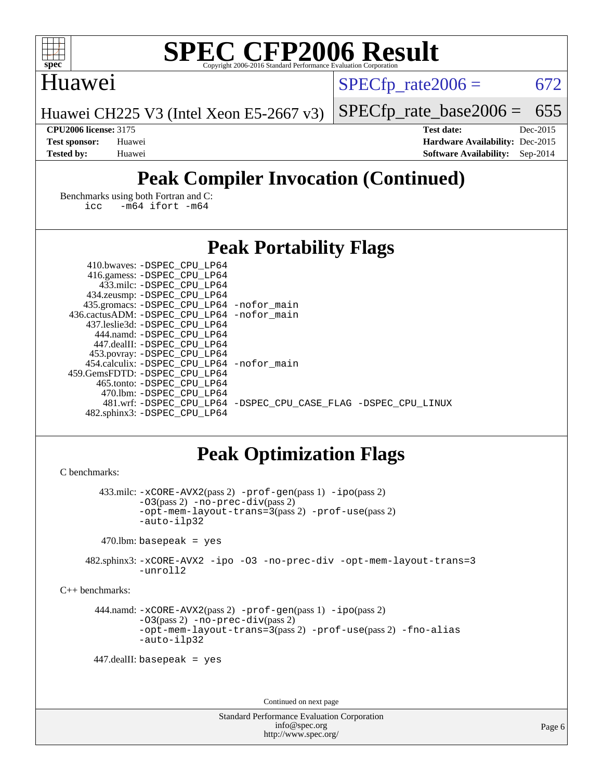

## Huawei

SPECfp\_rate $2006 = 672$ 

Huawei CH225 V3 (Intel Xeon E5-2667 v3)

[SPECfp\\_rate\\_base2006 =](http://www.spec.org/auto/cpu2006/Docs/result-fields.html#SPECfpratebase2006) 655

**[CPU2006 license:](http://www.spec.org/auto/cpu2006/Docs/result-fields.html#CPU2006license)** 3175 **[Test date:](http://www.spec.org/auto/cpu2006/Docs/result-fields.html#Testdate)** Dec-2015 **[Test sponsor:](http://www.spec.org/auto/cpu2006/Docs/result-fields.html#Testsponsor)** Huawei **[Hardware Availability:](http://www.spec.org/auto/cpu2006/Docs/result-fields.html#HardwareAvailability)** Dec-2015 **[Tested by:](http://www.spec.org/auto/cpu2006/Docs/result-fields.html#Testedby)** Huawei **[Software Availability:](http://www.spec.org/auto/cpu2006/Docs/result-fields.html#SoftwareAvailability)** Sep-2014

## **[Peak Compiler Invocation \(Continued\)](http://www.spec.org/auto/cpu2006/Docs/result-fields.html#PeakCompilerInvocation)**

[Benchmarks using both Fortran and C](http://www.spec.org/auto/cpu2006/Docs/result-fields.html#BenchmarksusingbothFortranandC): [icc -m64](http://www.spec.org/cpu2006/results/res2016q1/cpu2006-20160107-38601.flags.html#user_CC_FCpeak_intel_icc_64bit_0b7121f5ab7cfabee23d88897260401c) [ifort -m64](http://www.spec.org/cpu2006/results/res2016q1/cpu2006-20160107-38601.flags.html#user_CC_FCpeak_intel_ifort_64bit_ee9d0fb25645d0210d97eb0527dcc06e)

## **[Peak Portability Flags](http://www.spec.org/auto/cpu2006/Docs/result-fields.html#PeakPortabilityFlags)**

| 410.bwaves: -DSPEC CPU LP64                |                                                                |
|--------------------------------------------|----------------------------------------------------------------|
| 416.gamess: -DSPEC_CPU_LP64                |                                                                |
| 433.milc: -DSPEC CPU LP64                  |                                                                |
| 434.zeusmp: -DSPEC_CPU_LP64                |                                                                |
| 435.gromacs: -DSPEC_CPU_LP64 -nofor_main   |                                                                |
| 436.cactusADM: -DSPEC CPU LP64 -nofor main |                                                                |
| 437.leslie3d: -DSPEC CPU LP64              |                                                                |
| 444.namd: -DSPEC CPU LP64                  |                                                                |
| 447.dealII: -DSPEC CPU LP64                |                                                                |
| 453.povray: - DSPEC_CPU_LP64               |                                                                |
| 454.calculix: -DSPEC CPU LP64 -nofor main  |                                                                |
| 459. GemsFDTD: - DSPEC CPU LP64            |                                                                |
| 465.tonto: -DSPEC_CPU LP64                 |                                                                |
| 470.1bm: - DSPEC CPU LP64                  |                                                                |
|                                            | 481.wrf: -DSPEC CPU_LP64 -DSPEC_CPU_CASE_FLAG -DSPEC_CPU_LINUX |
| 482.sphinx3: -DSPEC_CPU_LP64               |                                                                |

## **[Peak Optimization Flags](http://www.spec.org/auto/cpu2006/Docs/result-fields.html#PeakOptimizationFlags)**

```
C benchmarks: 
        433.milc: -xCORE-AVX2(pass 2) -prof-gen(pass 1) -ipo(pass 2)
               -O3(pass 2) -no-prec-div(pass 2)
               -opt-mem-layout-trans=3(pass 2) -prof-use(pass 2)
               -auto-ilp32
        470.lbm: basepeak = yes
     482.sphinx3: -xCORE-AVX2 -ipo -O3 -no-prec-div -opt-mem-layout-trans=3
               -unroll2
C++ benchmarks: 
       444.namd: -xCORE-AVX2(pass 2) -prof-gen(pass 1) -ipo(pass 2)
               -O3(pass 2) -no-prec-div(pass 2)
               -opt-mem-layout-trans=3(pass 2) -prof-use(pass 2) -fno-alias
               -auto-ilp32
       447.dealII: basepeak = yes
```
Continued on next page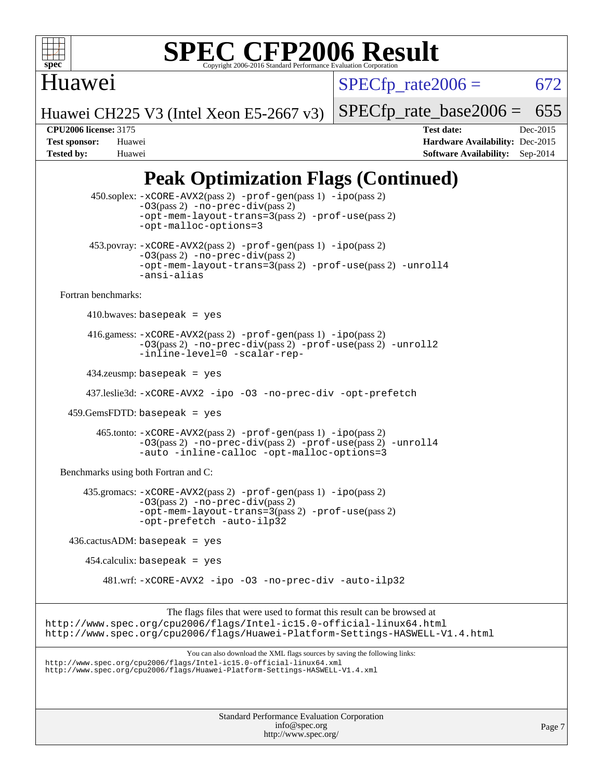

## Huawei

 $SPECfp_rate2006 = 672$  $SPECfp_rate2006 = 672$ 

Huawei CH225 V3 (Intel Xeon E5-2667 v3)

[SPECfp\\_rate\\_base2006 =](http://www.spec.org/auto/cpu2006/Docs/result-fields.html#SPECfpratebase2006) 655

**[CPU2006 license:](http://www.spec.org/auto/cpu2006/Docs/result-fields.html#CPU2006license)** 3175 **[Test date:](http://www.spec.org/auto/cpu2006/Docs/result-fields.html#Testdate)** Dec-2015 **[Test sponsor:](http://www.spec.org/auto/cpu2006/Docs/result-fields.html#Testsponsor)** Huawei **[Hardware Availability:](http://www.spec.org/auto/cpu2006/Docs/result-fields.html#HardwareAvailability)** Dec-2015 **[Tested by:](http://www.spec.org/auto/cpu2006/Docs/result-fields.html#Testedby)** Huawei **[Software Availability:](http://www.spec.org/auto/cpu2006/Docs/result-fields.html#SoftwareAvailability)** Sep-2014

## **[Peak Optimization Flags \(Continued\)](http://www.spec.org/auto/cpu2006/Docs/result-fields.html#PeakOptimizationFlags)**

| 450.soplex: -xCORE-AVX2(pass 2) -prof-gen(pass 1) -ipo(pass 2)<br>$-03(pass 2)$ -no-prec-div(pass 2)<br>-opt-mem-layout-trans=3(pass 2) -prof-use(pass 2)<br>-opt-malloc-options=3                                               |        |
|----------------------------------------------------------------------------------------------------------------------------------------------------------------------------------------------------------------------------------|--------|
| 453.povray: -xCORE-AVX2(pass 2) -prof-gen(pass 1) -ipo(pass 2)<br>$-03(pass 2)$ -no-prec-div(pass 2)<br>-opt-mem-layout-trans=3(pass 2) -prof-use(pass 2) -unroll4<br>-ansi-alias                                                |        |
| Fortran benchmarks:                                                                                                                                                                                                              |        |
| 410.bwaves: basepeak = $yes$                                                                                                                                                                                                     |        |
| $416$ .gamess: $-x \text{CORE-AVX2}(pass 2)$ -prof-gen(pass 1) -ipo(pass 2)<br>$-03(pass 2)$ -no-prec-div(pass 2) -prof-use(pass 2) -unroll2<br>-inline-level=0 -scalar-rep-                                                     |        |
| $434$ .zeusmp: basepeak = yes                                                                                                                                                                                                    |        |
| 437.leslie3d: -xCORE-AVX2 -ipo -03 -no-prec-div -opt-prefetch                                                                                                                                                                    |        |
| $459.GemsFDTD: basepeak = yes$                                                                                                                                                                                                   |        |
| 465.tonto: -xCORE-AVX2(pass 2) -prof-gen(pass 1) -ipo(pass 2)<br>-03(pass 2) -no-prec-div(pass 2) -prof-use(pass 2) -unroll4<br>-auto -inline-calloc -opt-malloc-options=3                                                       |        |
| Benchmarks using both Fortran and C:                                                                                                                                                                                             |        |
| 435.gromacs: -xCORE-AVX2(pass 2) -prof-gen(pass 1) -ipo(pass 2)<br>$-03(pass 2)$ -no-prec-div(pass 2)<br>-opt-mem-layout-trans=3(pass 2) -prof-use(pass 2)<br>-opt-prefetch -auto-ilp32                                          |        |
| $436.cactusADM: basepeak = yes$                                                                                                                                                                                                  |        |
| $454$ .calculix: basepeak = yes                                                                                                                                                                                                  |        |
| 481.wrf: -xCORE-AVX2 -ipo -03 -no-prec-div -auto-ilp32                                                                                                                                                                           |        |
| The flags files that were used to format this result can be browsed at<br>http://www.spec.org/cpu2006/flags/Intel-ic15.0-official-linux64.html<br>http://www.spec.org/cpu2006/flags/Huawei-Platform-Settings-HASWELL-V1.4.html   |        |
| You can also download the XML flags sources by saving the following links:<br>http://www.spec.org/cpu2006/flags/Intel-ic15.0-official-linux64.xml<br>http://www.spec.org/cpu2006/flags/Huawei-Platform-Settings-HASWELL-V1.4.xml |        |
| <b>Standard Performance Evaluation Corporation</b>                                                                                                                                                                               |        |
| info@spec.org<br>http://www.spec.org/                                                                                                                                                                                            | Page 7 |